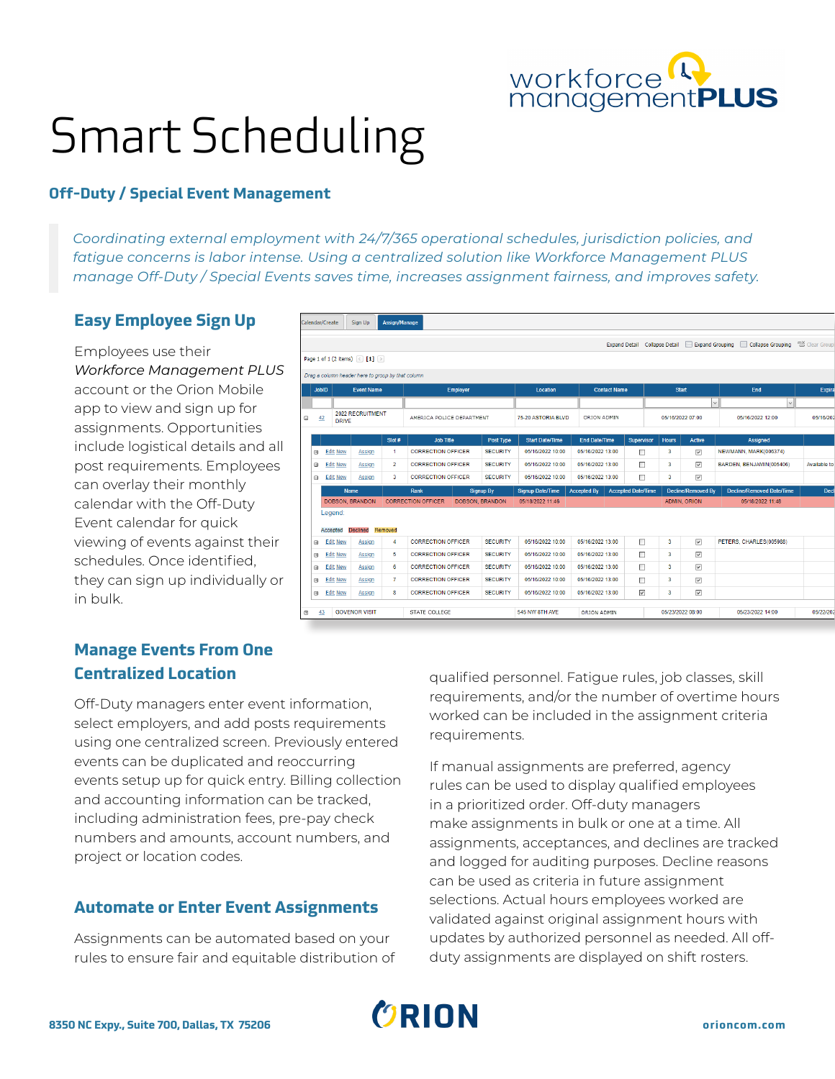# workforce<sup>Q</sup>

# Smart Scheduling

### **Off-Duty / Special Event Management**

*Coordinating external employment with 24/7/365 operational schedules, jurisdiction policies, and fatigue concerns is labor intense. Using a centralized solution like Workforce Management PLUS manage Off-Duty / Special Events saves time, increases assignment fairness, and improves safety.* 

#### **Easy Employee Sign Up**

Employees use their *Workforce Management PLUS* account or the Orion Mobile app to view and sign up for assignments. Opportunities include logistical details and all post requirements. Employees can overlay their monthly calendar with the Off-Duty Event calendar for quick viewing of events against their schedules. Once identified, they can sign up individually or in bulk.

|                          | Calendar/Create                        | Sign Up                                           | Assign/Manage  |                           |  |                        |                         |                      |                       |                      |                                                        |                         |                                  |                |
|--------------------------|----------------------------------------|---------------------------------------------------|----------------|---------------------------|--|------------------------|-------------------------|----------------------|-----------------------|----------------------|--------------------------------------------------------|-------------------------|----------------------------------|----------------|
|                          |                                        |                                                   |                |                           |  |                        |                         |                      |                       | <b>Expand Detail</b> | <b>Collapse Detail</b>                                 | Expand Grouping         | Collapse Grouping                | a Clear Groupi |
|                          |                                        | Page 1 of 1 (2 items) $\le$ [1] $\ge$             |                |                           |  |                        |                         |                      |                       |                      |                                                        |                         |                                  |                |
|                          |                                        | Drag a column header here to group by that column |                |                           |  |                        |                         |                      |                       |                      |                                                        |                         |                                  |                |
|                          | <b>JobID</b>                           | <b>Event Name</b>                                 |                | <b>Employer</b>           |  |                        | Location                |                      | <b>Contact Name</b>   |                      |                                                        | <b>Start</b>            | End                              | Expira         |
|                          |                                        |                                                   |                |                           |  |                        |                         |                      | $\vee$                |                      | $\check{~}$                                            |                         |                                  |                |
| Θ                        | 2022 RECRUITMENT<br>42<br><b>DRIVE</b> |                                                   |                | AMERICA POLICE DEPARTMENT |  | 75-20 ASTORIA BLVD     |                         | ORION ADMIN          |                       | 05/16/2022 07:00     |                                                        | 05/16/2022 12:00        | 05/16/202                        |                |
|                          |                                        |                                                   | Slot #         | <b>Job Title</b>          |  | Post Type              | <b>Start Date/Time</b>  | <b>End Date/Time</b> |                       | <b>Supervisor</b>    | <b>Hours</b>                                           | <b>Active</b>           | <b>Assigned</b>                  |                |
| 田                        | <b>Edit New</b><br>Assign              |                                                   | 1              | <b>CORRECTION OFFICER</b> |  | <b>SECURITY</b>        | 05/16/2022 10:00        | 05/16/2022 13:00     |                       | □                    | $\overline{3}$                                         | $\checkmark$            | NEWMANN, MARK(006374)            |                |
| 田                        | <b>Edit New</b>                        | Assign                                            | $\overline{2}$ | <b>CORRECTION OFFICER</b> |  | <b>SECURITY</b>        | 05/16/2022 10:00        |                      | 05/16/2022 13:00      |                      | 3                                                      | $\overline{\vee}$       | BARDEN, BENJAMIN(005406)         | Available to   |
| Θ                        | <b>Edit New</b>                        | Assign                                            | 3              | <b>CORRECTION OFFICER</b> |  | <b>SECURITY</b>        | 05/16/2022 10:00        |                      | П<br>05/16/2022 13:00 |                      | 3                                                      | $\overline{\mathsf{v}}$ |                                  |                |
|                          |                                        | <b>Name</b>                                       |                | Rank                      |  | <b>Signup By</b>       | <b>Signup Date/Time</b> |                      | <b>Accepted By</b>    |                      | <b>Accepted Date/Time</b><br><b>Decline/Removed By</b> |                         | <b>Decline/Removed Date/Time</b> | <b>Decl</b>    |
|                          | DOBSON, BRANDON                        |                                                   |                | <b>CORRECTION OFFICER</b> |  | <b>DOBSON, BRANDON</b> | 05/18/2022 11:46        |                      |                       |                      |                                                        | <b>ADMIN, ORION</b>     | 05/18/2022 11:48                 |                |
|                          | Legend:<br>Accepted                    | <b>Declined</b>                                   | Removed        |                           |  |                        |                         |                      |                       |                      |                                                        |                         |                                  |                |
| $\qquad \qquad \boxplus$ | <b>Edit New</b>                        | Assign                                            | 4              | <b>CORRECTION OFFICER</b> |  | <b>SECURITY</b>        | 05/16/2022 10:00        | 05/16/2022 13:00     |                       | п                    | 3                                                      | $\overline{\vee}$       | PETERS, CHARLES(005988)          |                |
| $\boxplus$               | <b>Edit New</b>                        | Assign                                            | 5              | <b>CORRECTION OFFICER</b> |  | <b>SECURITY</b>        | 05/16/2022 10:00        | 05/16/2022 13:00     |                       | П                    | $\overline{\mathbf{3}}$                                | $\overline{\mathbf{v}}$ |                                  |                |
| $\blacksquare$           | <b>Edit New</b>                        | Assign                                            | 6              | <b>CORRECTION OFFICER</b> |  | <b>SECURITY</b>        | 05/16/2022 10:00        | 05/16/2022 13:00     |                       | □                    | 3                                                      | $\overline{\mathsf{v}}$ |                                  |                |
| $\boxplus$               | <b>Edit New</b>                        | Assign                                            | $\overline{7}$ | <b>CORRECTION OFFICER</b> |  | <b>SECURITY</b>        | 05/16/2022 10:00        | 05/16/2022 13:00     |                       | П                    | 3                                                      | $\overline{\mathsf{v}}$ |                                  |                |
| $\boxplus$               | <b>Edit New</b>                        | Assign                                            | 8              | <b>CORRECTION OFFICER</b> |  | <b>SECURITY</b>        | 05/16/2022 10:00        | 05/16/2022 13:00     |                       | $\checkmark$         | 3                                                      | $\checkmark$            |                                  |                |
| $\circ$                  | 43                                     | <b>GOVENOR VISIT</b>                              |                | STATE COLLEGE             |  |                        | 545 NW 8TH AVE          |                      | ORION ADMIN           |                      |                                                        | 05/23/2022 08:00        | 05/23/2022 14:00                 | 05/22/202      |

## **Manage Events From One Centralized Location**

Off-Duty managers enter event information, select employers, and add posts requirements using one centralized screen. Previously entered events can be duplicated and reoccurring events setup up for quick entry. Billing collection and accounting information can be tracked, including administration fees, pre-pay check numbers and amounts, account numbers, and project or location codes.

#### **Automate or Enter Event Assignments**

Assignments can be automated based on your rules to ensure fair and equitable distribution of qualified personnel. Fatigue rules, job classes, skill requirements, and/or the number of overtime hours worked can be included in the assignment criteria requirements.

If manual assignments are preferred, agency rules can be used to display qualified employees in a prioritized order. Off-duty managers make assignments in bulk or one at a time. All assignments, acceptances, and declines are tracked and logged for auditing purposes. Decline reasons can be used as criteria in future assignment selections. Actual hours employees worked are validated against original assignment hours with updates by authorized personnel as needed. All offduty assignments are displayed on shift rosters.